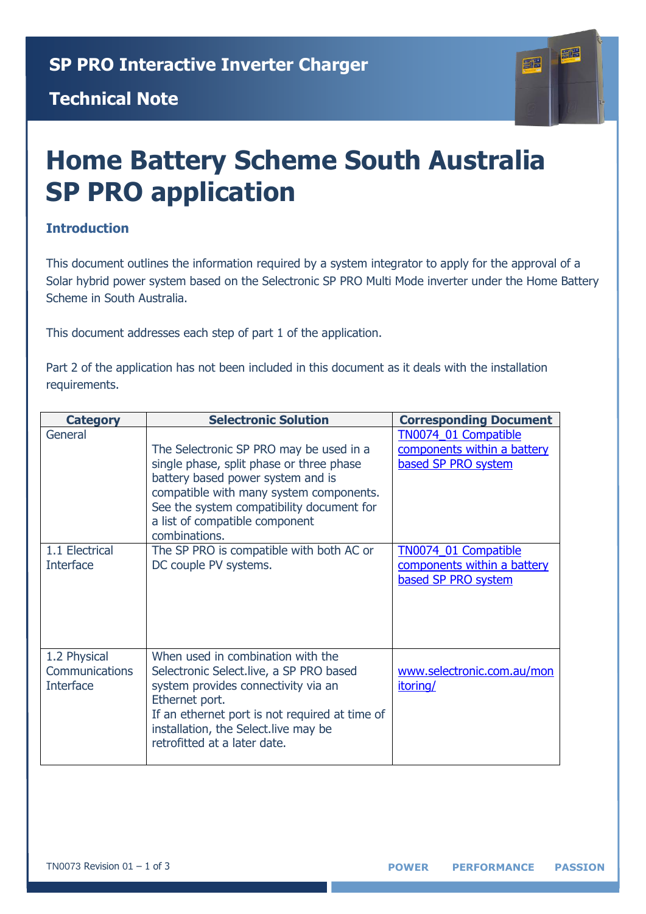#### **Technical Note**



# **Home Battery Scheme South Australia SP PRO application**

#### **Introduction**

This document outlines the information required by a system integrator to apply for the approval of a Solar hybrid power system based on the Selectronic SP PRO Multi Mode inverter under the Home Battery Scheme in South Australia.

This document addresses each step of part 1 of the application.

Part 2 of the application has not been included in this document as it deals with the installation requirements.

| <b>Category</b>                                    | <b>Selectronic Solution</b>                                                                                                                                                                                                                                         | <b>Corresponding Document</b>                                              |
|----------------------------------------------------|---------------------------------------------------------------------------------------------------------------------------------------------------------------------------------------------------------------------------------------------------------------------|----------------------------------------------------------------------------|
| General                                            | The Selectronic SP PRO may be used in a<br>single phase, split phase or three phase<br>battery based power system and is<br>compatible with many system components.<br>See the system compatibility document for<br>a list of compatible component<br>combinations. | TN0074_01 Compatible<br>components within a battery<br>based SP PRO system |
| 1.1 Electrical<br><b>Interface</b>                 | The SP PRO is compatible with both AC or<br>DC couple PV systems.                                                                                                                                                                                                   | TN0074 01 Compatible<br>components within a battery<br>based SP PRO system |
| 1.2 Physical<br>Communications<br><b>Interface</b> | When used in combination with the<br>Selectronic Select.live, a SP PRO based<br>system provides connectivity via an<br>Ethernet port.<br>If an ethernet port is not required at time of<br>installation, the Select. live may be<br>retrofitted at a later date.    | www.selectronic.com.au/mon<br>itoring/                                     |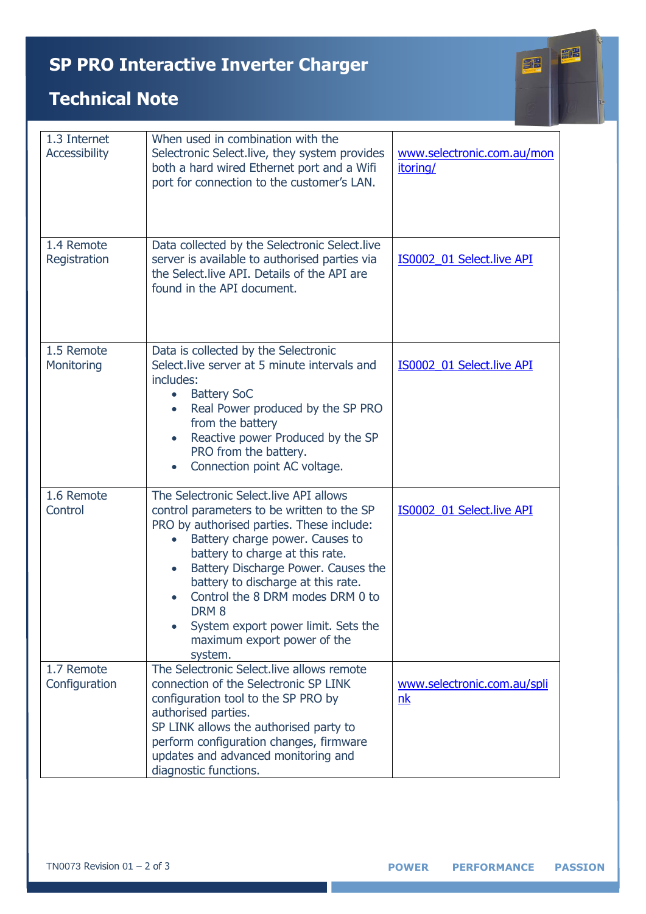# **SP PRO Interactive Inverter Charger**



### **Technical Note**

| 1.3 Internet<br>Accessibility | When used in combination with the<br>Selectronic Select.live, they system provides<br>both a hard wired Ethernet port and a Wifi<br>port for connection to the customer's LAN.                                                                                                                                                                                                                                                             | www.selectronic.com.au/mon<br>itoring/ |
|-------------------------------|--------------------------------------------------------------------------------------------------------------------------------------------------------------------------------------------------------------------------------------------------------------------------------------------------------------------------------------------------------------------------------------------------------------------------------------------|----------------------------------------|
| 1.4 Remote<br>Registration    | Data collected by the Selectronic Select.live<br>server is available to authorised parties via<br>the Select live API. Details of the API are<br>found in the API document.                                                                                                                                                                                                                                                                | IS0002_01 Select.live API              |
| 1.5 Remote<br>Monitoring      | Data is collected by the Selectronic<br>Select. live server at 5 minute intervals and<br>includes:<br><b>Battery SoC</b><br>$\bullet$<br>Real Power produced by the SP PRO<br>$\bullet$<br>from the battery<br>Reactive power Produced by the SP<br>PRO from the battery.<br>Connection point AC voltage.<br>$\bullet$                                                                                                                     | IS0002_01 Select.live API              |
| 1.6 Remote<br>Control         | The Selectronic Select.live API allows<br>control parameters to be written to the SP<br>PRO by authorised parties. These include:<br>Battery charge power. Causes to<br>battery to charge at this rate.<br>Battery Discharge Power. Causes the<br>$\bullet$<br>battery to discharge at this rate.<br>Control the 8 DRM modes DRM 0 to<br>DRM <sub>8</sub><br>System export power limit. Sets the<br>maximum export power of the<br>system. | IS0002_01 Select.live API              |
| 1.7 Remote<br>Configuration   | The Selectronic Select, live allows remote<br>connection of the Selectronic SP LINK<br>configuration tool to the SP PRO by<br>authorised parties.<br>SP LINK allows the authorised party to<br>perform configuration changes, firmware<br>updates and advanced monitoring and<br>diagnostic functions.                                                                                                                                     | www.selectronic.com.au/spli<br>nk      |